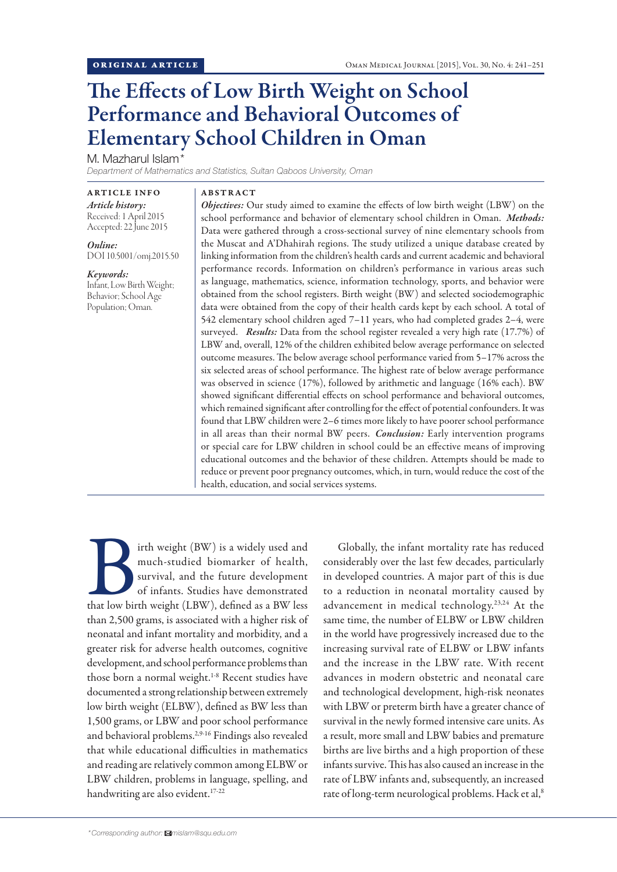# The Effects of Low Birth Weight on School Performance and Behavioral Outcomes of Elementary School Children in Oman

M. Mazharul Islam<sup>\*</sup>

*Department of Mathematics and Statistics, Sultan Qaboos University, Oman*

ARTICLE INFO *Article history:*  Received: 1 April 2015 Accepted: 22 June 2015

*Online:* DOI 10.5001/omj.2015.50

#### *Keywords:*

Infant, Low Birth Weight; Behavior; School Age Population; Oman.

## ABSTRACT

*Objectives:* Our study aimed to examine the effects of low birth weight (LBW) on the school performance and behavior of elementary school children in Oman. *Methods:*  Data were gathered through a cross-sectional survey of nine elementary schools from the Muscat and A'Dhahirah regions. The study utilized a unique database created by linking information from the children's health cards and current academic and behavioral performance records. Information on children's performance in various areas such as language, mathematics, science, information technology, sports, and behavior were obtained from the school registers. Birth weight (BW) and selected sociodemographic data were obtained from the copy of their health cards kept by each school. A total of 542 elementary school children aged 7–11 years, who had completed grades 2–4, were surveyed. *Results:* Data from the school register revealed a very high rate (17.7%) of LBW and, overall, 12% of the children exhibited below average performance on selected outcome measures. The below average school performance varied from 5–17% across the six selected areas of school performance. The highest rate of below average performance was observed in science (17%), followed by arithmetic and language (16% each). BW showed significant differential effects on school performance and behavioral outcomes, which remained significant after controlling for the effect of potential confounders. It was found that LBW children were 2–6 times more likely to have poorer school performance in all areas than their normal BW peers. *Conclusion:* Early intervention programs or special care for LBW children in school could be an effective means of improving educational outcomes and the behavior of these children. Attempts should be made to reduce or prevent poor pregnancy outcomes, which, in turn, would reduce the cost of the health, education, and social services systems.

If the weight (BW) is a widely used and much-studied biomarker of health, survival, and the future development of infants. Studies have demonstrated that low birth weight (LBW), defined as a BW less much-studied biomarker of health, survival, and the future development of infants. Studies have demonstrated than 2,500 grams, is associated with a higher risk of neonatal and infant mortality and morbidity, and a greater risk for adverse health outcomes, cognitive development, and school performance problems than those born a normal weight.<sup>1-8</sup> Recent studies have documented a strong relationship between extremely low birth weight (ELBW), defined as BW less than 1,500 grams, or LBW and poor school performance and behavioral problems.2,9-16 Findings also revealed that while educational difficulties in mathematics and reading are relatively common among ELBW or LBW children, problems in language, spelling, and handwriting are also evident.17-22

Globally, the infant mortality rate has reduced considerably over the last few decades, particularly in developed countries. A major part of this is due to a reduction in neonatal mortality caused by advancement in medical technology.23,24 At the same time, the number of ELBW or LBW children in the world have progressively increased due to the increasing survival rate of ELBW or LBW infants and the increase in the LBW rate. With recent advances in modern obstetric and neonatal care and technological development, high-risk neonates with LBW or preterm birth have a greater chance of survival in the newly formed intensive care units. As a result, more small and LBW babies and premature births are live births and a high proportion of these infants survive. This has also caused an increase in the rate of LBW infants and, subsequently, an increased rate of long-term neurological problems. Hack et al,<sup>8</sup>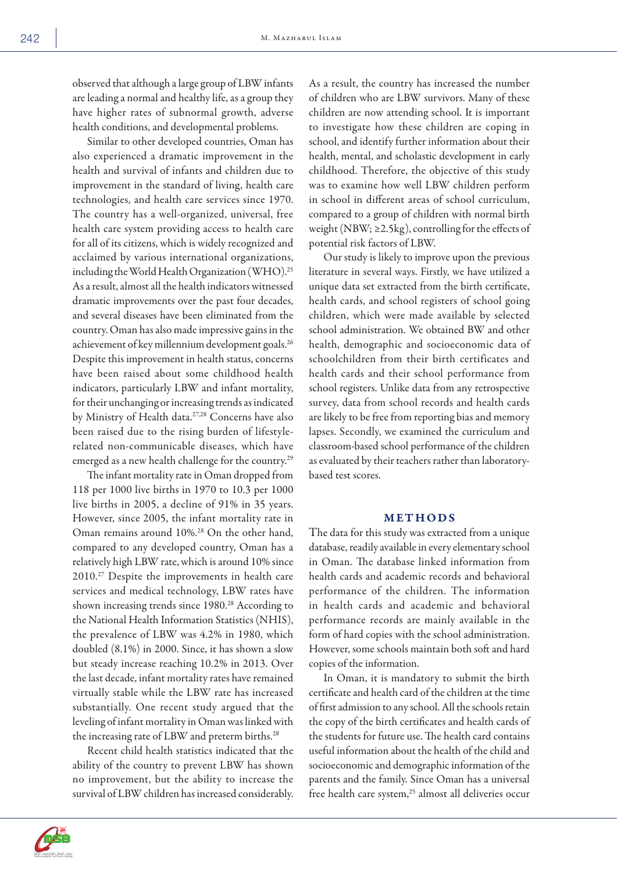observed that although a large group of LBW infants are leading a normal and healthy life, as a group they have higher rates of subnormal growth, adverse health conditions, and developmental problems.

Similar to other developed countries, Oman has also experienced a dramatic improvement in the health and survival of infants and children due to improvement in the standard of living, health care technologies, and health care services since 1970. The country has a well-organized, universal, free health care system providing access to health care for all of its citizens, which is widely recognized and acclaimed by various international organizations, including the World Health Organization (WHO).25 As a result, almost all the health indicators witnessed dramatic improvements over the past four decades, and several diseases have been eliminated from the country. Oman has also made impressive gains in the achievement of key millennium development goals.26 Despite this improvement in health status, concerns have been raised about some childhood health indicators, particularly LBW and infant mortality, for their unchanging or increasing trends as indicated by Ministry of Health data.<sup>27,28</sup> Concerns have also been raised due to the rising burden of lifestylerelated non-communicable diseases, which have emerged as a new health challenge for the country.<sup>29</sup>

The infant mortality rate in Oman dropped from 118 per 1000 live births in 1970 to 10.3 per 1000 live births in 2005, a decline of 91% in 35 years. However, since 2005, the infant mortality rate in Oman remains around 10%.28 On the other hand, compared to any developed country, Oman has a relatively high LBW rate, which is around 10% since 2010.27 Despite the improvements in health care services and medical technology, LBW rates have shown increasing trends since 1980.<sup>28</sup> According to the National Health Information Statistics (NHIS), the prevalence of LBW was 4.2% in 1980, which doubled (8.1%) in 2000. Since, it has shown a slow but steady increase reaching 10.2% in 2013. Over the last decade, infant mortality rates have remained virtually stable while the LBW rate has increased substantially. One recent study argued that the leveling of infant mortality in Oman was linked with the increasing rate of LBW and preterm births.<sup>28</sup>

Recent child health statistics indicated that the ability of the country to prevent LBW has shown no improvement, but the ability to increase the survival of LBW children has increased considerably.



Our study is likely to improve upon the previous literature in several ways. Firstly, we have utilized a unique data set extracted from the birth certificate, health cards, and school registers of school going children, which were made available by selected school administration. We obtained BW and other health, demographic and socioeconomic data of schoolchildren from their birth certificates and health cards and their school performance from school registers. Unlike data from any retrospective survey, data from school records and health cards are likely to be free from reporting bias and memory lapses. Secondly, we examined the curriculum and classroom-based school performance of the children as evaluated by their teachers rather than laboratorybased test scores.

## METHODS

The data for this study was extracted from a unique database, readily available in every elementary school in Oman. The database linked information from health cards and academic records and behavioral performance of the children. The information in health cards and academic and behavioral performance records are mainly available in the form of hard copies with the school administration. However, some schools maintain both soft and hard copies of the information.

In Oman, it is mandatory to submit the birth certificate and health card of the children at the time of first admission to any school. All the schools retain the copy of the birth certificates and health cards of the students for future use. The health card contains useful information about the health of the child and socioeconomic and demographic information of the parents and the family. Since Oman has a universal free health care system,<sup>25</sup> almost all deliveries occur

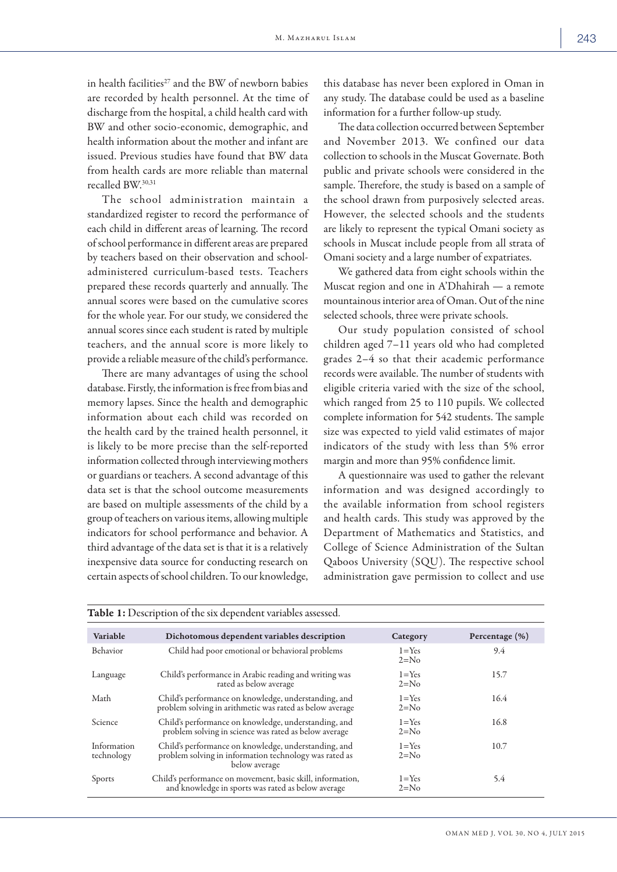in health facilities $^{27}$  and the BW of newborn babies are recorded by health personnel. At the time of discharge from the hospital, a child health card with BW and other socio-economic, demographic, and health information about the mother and infant are issued. Previous studies have found that BW data from health cards are more reliable than maternal recalled BW.30,31

The school administration maintain a standardized register to record the performance of each child in different areas of learning. The record of school performance in different areas are prepared by teachers based on their observation and schooladministered curriculum-based tests. Teachers prepared these records quarterly and annually. The annual scores were based on the cumulative scores for the whole year. For our study, we considered the annual scores since each student is rated by multiple teachers, and the annual score is more likely to provide a reliable measure of the child's performance.

There are many advantages of using the school database. Firstly, the information is free from bias and memory lapses. Since the health and demographic information about each child was recorded on the health card by the trained health personnel, it is likely to be more precise than the self-reported information collected through interviewing mothers or guardians or teachers. A second advantage of this data set is that the school outcome measurements are based on multiple assessments of the child by a group of teachers on various items, allowing multiple indicators for school performance and behavior. A third advantage of the data set is that it is a relatively inexpensive data source for conducting research on certain aspects of school children. To our knowledge,

this database has never been explored in Oman in any study. The database could be used as a baseline information for a further follow-up study.

The data collection occurred between September and November 2013. We confined our data collection to schools in the Muscat Governate. Both public and private schools were considered in the sample. Therefore, the study is based on a sample of the school drawn from purposively selected areas. However, the selected schools and the students are likely to represent the typical Omani society as schools in Muscat include people from all strata of Omani society and a large number of expatriates.

We gathered data from eight schools within the Muscat region and one in A'Dhahirah — a remote mountainous interior area of Oman. Out of the nine selected schools, three were private schools.

Our study population consisted of school children aged 7–11 years old who had completed grades 2–4 so that their academic performance records were available. The number of students with eligible criteria varied with the size of the school, which ranged from 25 to 110 pupils. We collected complete information for 542 students. The sample size was expected to yield valid estimates of major indicators of the study with less than 5% error margin and more than 95% confidence limit.

A questionnaire was used to gather the relevant information and was designed accordingly to the available information from school registers and health cards. This study was approved by the Department of Mathematics and Statistics, and College of Science Administration of the Sultan Qaboos University (SQU). The respective school administration gave permission to collect and use

| Table 1: Description of the six dependent variables assessed. |                                                                                                                                 |                     |                |  |  |  |
|---------------------------------------------------------------|---------------------------------------------------------------------------------------------------------------------------------|---------------------|----------------|--|--|--|
| Variable                                                      | Dichotomous dependent variables description                                                                                     | Category            | Percentage (%) |  |  |  |
| <b>Behavior</b>                                               | Child had poor emotional or behavioral problems                                                                                 | $1 = Yes$<br>$2=No$ | 9.4            |  |  |  |
| Language                                                      | Child's performance in Arabic reading and writing was<br>rated as below average                                                 | $1 = Yes$<br>$2=No$ | 15.7           |  |  |  |
| Math                                                          | Child's performance on knowledge, understanding, and<br>problem solving in arithmetic was rated as below average                | $1 = Yes$<br>$2=No$ | 16.4           |  |  |  |
| Science                                                       | Child's performance on knowledge, understanding, and<br>problem solving in science was rated as below average                   | $1 = Yes$<br>$2=No$ | 16.8           |  |  |  |
| Information<br>technology                                     | Child's performance on knowledge, understanding, and<br>problem solving in information technology was rated as<br>below average | $1 = Yes$<br>$2=No$ | 10.7           |  |  |  |
| Sports                                                        | Child's performance on movement, basic skill, information,<br>and knowledge in sports was rated as below average                | $1 = Yes$<br>$2=No$ | 5.4            |  |  |  |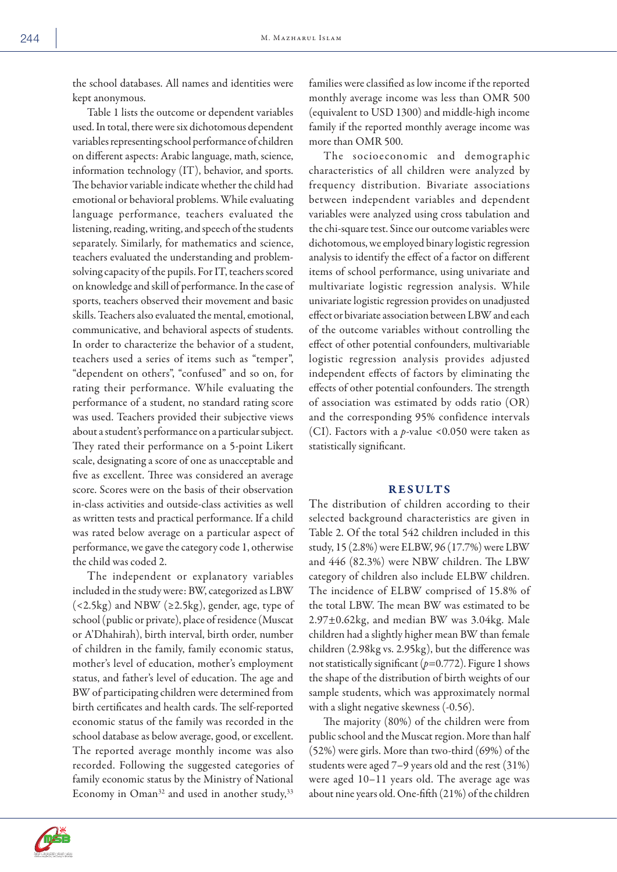the school databases. All names and identities were kept anonymous.

Table 1 lists the outcome or dependent variables used. In total, there were six dichotomous dependent variables representing school performance of children on different aspects: Arabic language, math, science, information technology (IT), behavior, and sports. The behavior variable indicate whether the child had emotional or behavioral problems. While evaluating language performance, teachers evaluated the listening, reading, writing, and speech of the students separately. Similarly, for mathematics and science, teachers evaluated the understanding and problemsolving capacity of the pupils. For IT, teachers scored on knowledge and skill of performance. In the case of sports, teachers observed their movement and basic skills. Teachers also evaluated the mental, emotional, communicative, and behavioral aspects of students. In order to characterize the behavior of a student, teachers used a series of items such as "temper", "dependent on others", "confused" and so on, for rating their performance. While evaluating the performance of a student, no standard rating score was used. Teachers provided their subjective views about a student's performance on a particular subject. They rated their performance on a 5-point Likert scale, designating a score of one as unacceptable and five as excellent. Three was considered an average score. Scores were on the basis of their observation in-class activities and outside-class activities as well as written tests and practical performance. If a child was rated below average on a particular aspect of performance, we gave the category code 1, otherwise the child was coded 2.

The independent or explanatory variables included in the study were: BW, categorized as LBW  $(<2.5kg$ ) and NBW (≥2.5kg), gender, age, type ofschool (public or private), place of residence (Muscat or A'Dhahirah), birth interval, birth order, number of children in the family, family economic status, mother's level of education, mother's employment status, and father's level of education. The age and BW of participating children were determined from birth certificates and health cards. The self-reported economic status of the family was recorded in the school database as below average, good, or excellent. The reported average monthly income was also recorded. Following the suggested categories of family economic status by the Ministry of National Economy in Oman<sup>32</sup> and used in another study,<sup>33</sup>

families were classified as low income if the reported monthly average income was less than OMR 500 (equivalent to USD 1300) and middle-high income family if the reported monthly average income was more than OMR 500.

The socioeconomic and demographic characteristics of all children were analyzed by frequency distribution. Bivariate associations between independent variables and dependent variables were analyzed using cross tabulation and the chi-square test. Since our outcome variables were dichotomous, we employed binary logistic regression analysis to identify the effect of a factor on different items of school performance, using univariate and multivariate logistic regression analysis. While univariate logistic regression provides on unadjusted effect or bivariate association between LBW and each of the outcome variables without controlling the effect of other potential confounders, multivariable logistic regression analysis provides adjusted independent effects of factors by eliminating the effects of other potential confounders. The strength of association was estimated by odds ratio (OR) and the corresponding 95% confidence intervals (CI). Factors with a *p*-value <0.050 were taken as statistically significant.

## RESULTS

The distribution of children according to their selected background characteristics are given in Table 2. Of the total 542 children included in this study, 15 (2.8%) were ELBW, 96 (17.7%) were LBW and 446 (82.3%) were NBW children. The LBW category of children also include ELBW children. The incidence of ELBW comprised of 15.8% of the total LBW. The mean BW was estimated to be 2.97±0.62kg, and median BW was 3.04kg. Male children had a slightly higher mean BW than female children (2.98kg vs. 2.95kg), but the difference was not statistically significant (*p*=0.772). Figure 1 shows the shape of the distribution of birth weights of our sample students, which was approximately normal with a slight negative skewness (-0.56).

The majority (80%) of the children were from public school and the Muscat region. More than half (52%) were girls. More than two-third (69%) of the students were aged 7–9 years old and the rest (31%) were aged 10–11 years old. The average age was about nine years old. One-fifth (21%) of the children

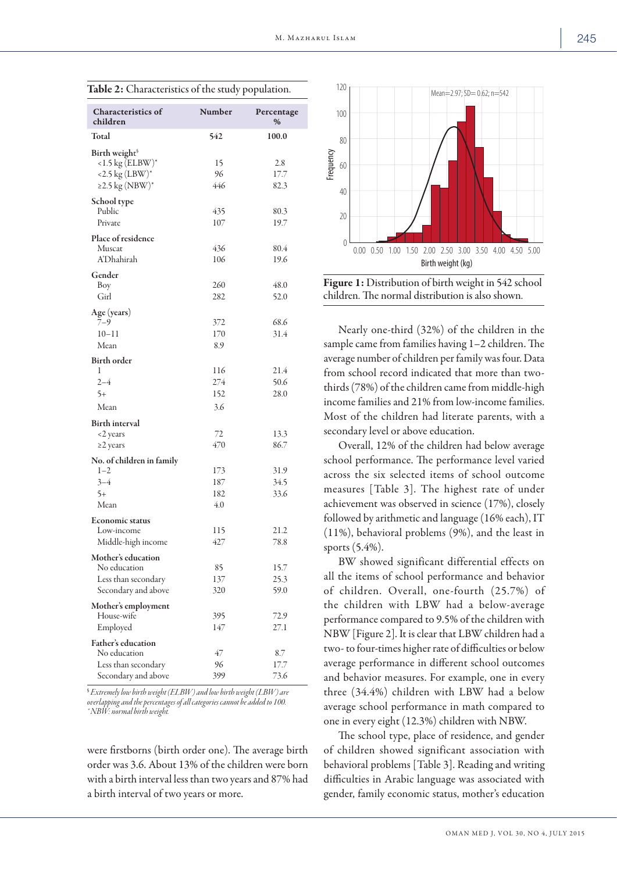| <b>Characteristics of</b><br>children                                                        | Number                   | Percentage<br>%      |
|----------------------------------------------------------------------------------------------|--------------------------|----------------------|
| Total                                                                                        | 542                      | 100.0                |
| Birth weight <sup>§</sup><br>$<$ 1.5 kg (ELBW)*<br>$<$ 2.5 kg (LBW)*<br>$\geq$ 2.5 kg (NBW)* | 15<br>96<br>446          | 2.8<br>17.7<br>82.3  |
| School type<br>Public<br>Private                                                             | 435<br>107               | 80.3<br>19.7         |
| Place of residence<br>Muscat<br><b>A'Dhahirah</b>                                            | 436<br>106               | 80.4<br>19.6         |
| Gender<br>Boy<br>Girl                                                                        | 260<br>282               | 48.0<br>52.0         |
| Age (years)<br>7–9<br>$10 - 11$<br>Mean                                                      | 372<br>170<br>8.9        | 68.6<br>31.4         |
| <b>Birth order</b><br>1<br>$2 - 4$<br>$5+$<br>Mean                                           | 116<br>274<br>152<br>3.6 | 21.4<br>50.6<br>28.0 |
| <b>Birth interval</b><br><2 years<br>$\geq$ 2 years                                          | 72<br>470                | 13.3<br>86.7         |
| No. of children in family<br>$1 - 2$<br>$3 - 4$<br>$5+$<br>Mean                              | 173<br>187<br>182<br>4.0 | 31.9<br>34.5<br>33.6 |
| <b>Economic status</b><br>Low-income<br>Middle-high income                                   | 115<br>427               | 21.2<br>78.8         |
| Mother's education<br>No education<br>Less than secondary<br>Secondary and above             | 85<br>137<br>320         | 15.7<br>25.3<br>59.0 |
| Mother's employment<br>House-wife<br>Employed                                                | 395<br>147               | 72.9<br>27.1         |
| Father's education<br>No education<br>Less than secondary<br>Secondary and above             | 47<br>96<br>399          | 8.7<br>17.7<br>73.6  |

Table 2: Characteristics of the study population.

§  *Extremely low birth weight (ELBW) and low birth weight (LBW) are overlapping and the percentages of all categories cannot be added to 100. \* NBW: normal birth weight.* 

were firstborns (birth order one). The average birth order was 3.6. About 13% of the children were born with a birth interval less than two years and 87% had a birth interval of two years or more.





Nearly one-third (32%) of the children in the sample came from families having 1–2 children. The average number of children per family was four. Data from school record indicated that more than twothirds (78%) of the children came from middle-high income families and 21% from low-income families. Most of the children had literate parents, with a secondary level or above education.

Overall, 12% of the children had below average school performance. The performance level varied across the six selected items of school outcome measures [Table 3]. The highest rate of under achievement was observed in science (17%), closely followed by arithmetic and language (16% each), IT (11%), behavioral problems (9%), and the least in sports (5.4%).

BW showed significant differential effects on all the items of school performance and behavior of children. Overall, one-fourth (25.7%) of the children with LBW had a below-average performance compared to 9.5% of the children with NBW [Figure 2]. It is clear that LBW children had a two- to four-times higher rate of difficulties or below average performance in different school outcomes and behavior measures. For example, one in every three (34.4%) children with LBW had a below average school performance in math compared to one in every eight (12.3%) children with NBW.

The school type, place of residence, and gender of children showed significant association with behavioral problems [Table 3]. Reading and writing difficulties in Arabic language was associated with gender, family economic status, mother's education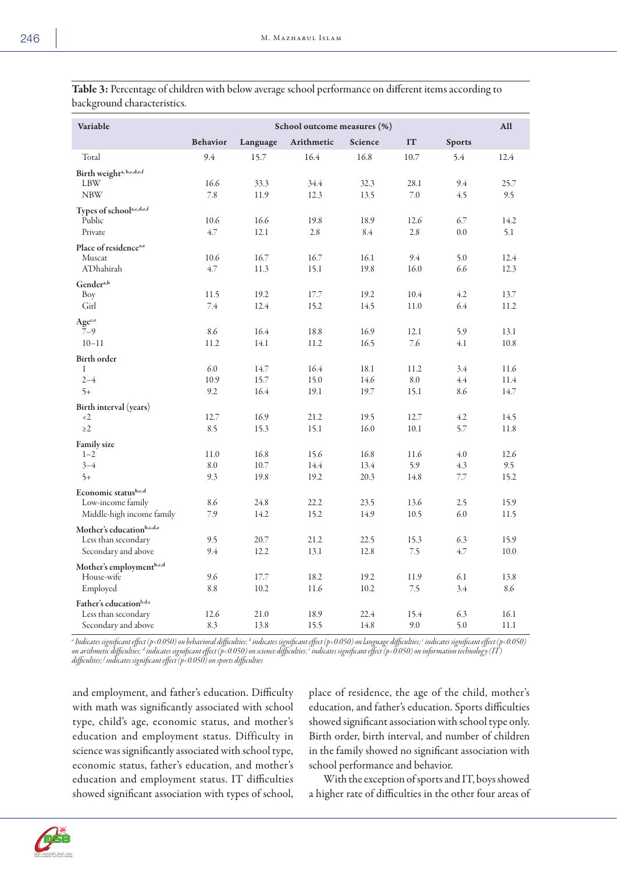| Variable                                                                                                                                                                     | School outcome measures (%) |          |            |         |      | All           |      |
|------------------------------------------------------------------------------------------------------------------------------------------------------------------------------|-----------------------------|----------|------------|---------|------|---------------|------|
|                                                                                                                                                                              | <b>Behavior</b>             | Language | Arithmetic | Science | IT   | <b>Sports</b> |      |
| Total                                                                                                                                                                        | 9.4                         | 15.7     | 16.4       | 16.8    | 10.7 | 5.4           | 12.4 |
| Birth weight <sup>a, b,c,d,e,f</sup>                                                                                                                                         |                             |          |            |         |      |               |      |
| LBW                                                                                                                                                                          | 16.6                        | 33.3     | 34.4       | 32.3    | 28.1 | 9.4           | 25.7 |
| <b>NBW</b>                                                                                                                                                                   | 7.8                         | 11.9     | 12.3       | 13.5    | 7.0  | 4.5           | 9.5  |
| Types of school <sup>a,c,d,e,f</sup>                                                                                                                                         |                             |          |            |         |      |               |      |
| Public                                                                                                                                                                       | 10.6                        | 16.6     | 19.8       | 18.9    | 12.6 | 6.7           | 14.2 |
| Private                                                                                                                                                                      | 4.7                         | 12.1     | 2.8        | 8.4     | 2.8  | 0.0           | 5.1  |
| Place of residence <sup>a,e</sup>                                                                                                                                            |                             |          |            |         |      |               |      |
| Muscat                                                                                                                                                                       | 10.6                        | 16.7     | 16.7       | 16.1    | 9.4  | 5.0           | 12.4 |
| A'Dhahirah                                                                                                                                                                   | 4.7                         | 11.3     | 15.1       | 19.8    | 16.0 | 6.6           | 12.3 |
| Gender <sup>a,b</sup>                                                                                                                                                        |                             |          |            |         |      |               |      |
| Boy                                                                                                                                                                          | 11.5                        | 19.2     | 17.7       | 19.2    | 10.4 | 4.2           | 13.7 |
| Girl                                                                                                                                                                         | 7.4                         | 12.4     | 15.2       | 14.5    | 11.0 | 6.4           | 11.2 |
| Agec,e                                                                                                                                                                       |                             |          |            |         |      |               |      |
| $7 - 9$                                                                                                                                                                      | 8.6                         | 16.4     | 18.8       | 16.9    | 12.1 | 5.9           | 13.1 |
| $10 - 11$                                                                                                                                                                    | 11.2                        | 14.1     | 11.2       | 16.5    | 7.6  | 4.1           | 10.8 |
| Birth order                                                                                                                                                                  |                             |          |            |         |      |               |      |
| 1                                                                                                                                                                            | 6.0                         | 14.7     | 16.4       | 18.1    | 11.2 | 3.4           | 11.6 |
| $2 - 4$                                                                                                                                                                      | 10.9                        | 15.7     | 15.0       | 14.6    | 8.0  | 4.4           | 11.4 |
| $5+$                                                                                                                                                                         | 9.2                         | 16.4     | 19.1       | 19.7    | 15.1 | 8.6           | 14.7 |
| Birth interval (years)                                                                                                                                                       |                             |          |            |         |      |               |      |
| $\langle 2 \rangle$                                                                                                                                                          | 12.7                        | 16.9     | 21.2       | 19.5    | 12.7 | 4.2           | 14.5 |
| $\geq$ 2                                                                                                                                                                     | 8.5                         | 15.3     | 15.1       | 16.0    | 10.1 | 5.7           | 11.8 |
| <b>Family size</b>                                                                                                                                                           |                             |          |            |         |      |               |      |
| $1 - 2$                                                                                                                                                                      | 11.0                        | 16.8     | 15.6       | 16.8    | 11.6 | 4.0           | 12.6 |
| $3 - 4$                                                                                                                                                                      | 8.0                         | 10.7     | 14.4       | 13.4    | 5.9  | 4.3           | 9.5  |
| $5+$                                                                                                                                                                         | 9.3                         | 19.8     | 19.2       | 20.3    | 14.8 | 7.7           | 15.2 |
| Economic statusb,c,d                                                                                                                                                         |                             |          |            |         |      |               |      |
| Low-income family                                                                                                                                                            | 8.6                         | 24.8     | 22.2       | 23.5    | 13.6 | 2.5           | 15.9 |
| Middle-high income family                                                                                                                                                    | 7.9                         | 14.2     | 15.2       | 14.9    | 10.5 | 6.0           | 11.5 |
| Mother's educationb,c,d,e                                                                                                                                                    |                             |          |            |         |      |               |      |
| Less than secondary                                                                                                                                                          | 9.5                         | 20.7     | 21.2       | 22.5    | 15.3 | 6.3           | 15.9 |
| Secondary and above                                                                                                                                                          | 9.4                         | 12.2     | 13.1       | 12.8    | 7.5  | 4.7           | 10.0 |
| Mother's employmentb,c,d                                                                                                                                                     |                             |          |            |         |      |               |      |
| House-wife                                                                                                                                                                   | 9.6                         | 17.7     | 18.2       | 19.2    | 11.9 | 6.1           | 13.8 |
| Employed                                                                                                                                                                     | 8.8                         | 10.2     | 11.6       | 10.2    | 7.5  | 3.4           | 8.6  |
| Father's educationb,d,e                                                                                                                                                      |                             |          |            |         |      |               |      |
| Less than secondary                                                                                                                                                          | 12.6                        | 21.0     | 18.9       | 22.4    | 15.4 | 6.3           | 16.1 |
| Secondary and above                                                                                                                                                          | 8.3                         | 13.8     | 15.5       | 14.8    | 9.0  | 5.0           | 11.1 |
| a Indicates significant effect (p<0.050) on behavioral difficulties bindicates significant effect (p<0.050) on language difficulties bindicates significant effect (p<0.050) |                             |          |            |         |      |               |      |

Table 3: Percentage of children with below average school performance on different items according to background characteristics.

*a Indicates significant effect (p<0.050) on behavioral difficulties; b indicates significant effect (p<0.050) on language difficulties; c indicates significant effect (p<0.050)*  on arithmetic difficulties; <sup>d</sup> indicates significant effect (p<0.050) on science difficulties; <sup>c</sup> indicates significant effect (p<0.050) on information technology (IT) *difficulties; f indicates significant effect (p<0.050) on sports difficulties*

and employment, and father's education. Difficulty with math was significantly associated with school type, child's age, economic status, and mother's education and employment status. Difficulty in science was significantly associated with school type, economic status, father's education, and mother's education and employment status. IT difficulties showed significant association with types of school, place of residence, the age of the child, mother's education, and father's education. Sports difficulties showed significant association with school type only. Birth order, birth interval, and number of children in the family showed no significant association with school performance and behavior.

With the exception of sports and IT, boys showed a higher rate of difficulties in the other four areas of

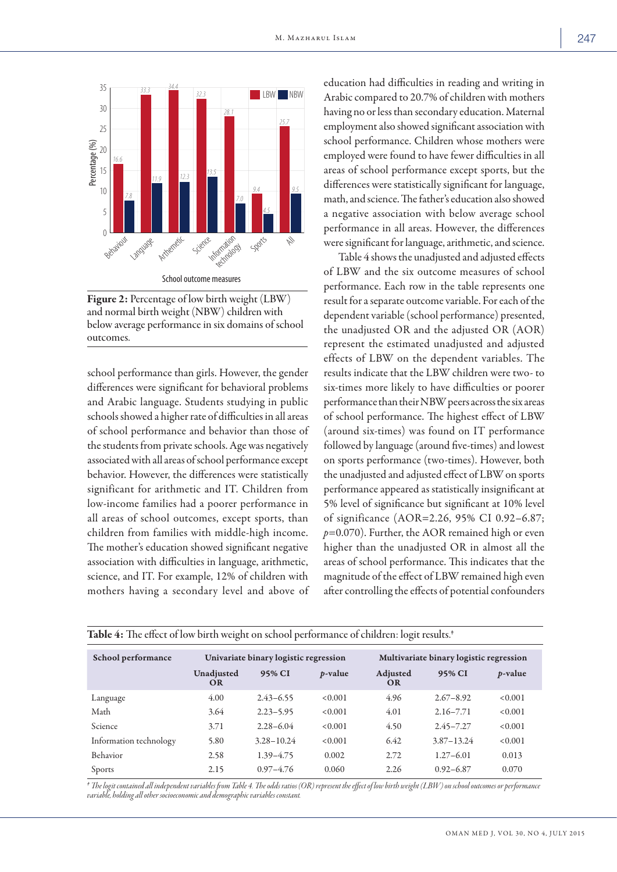

Figure 2: Percentage of low birth weight (LBW) and normal birth weight (NBW) children with below average performance in six domains of school outcomes.

school performance than girls. However, the gender differences were significant for behavioral problems and Arabic language. Students studying in public schools showed a higher rate of difficulties in all areas of school performance and behavior than those of the students from private schools. Age was negatively associated with all areas of school performance except behavior. However, the differences were statistically significant for arithmetic and IT. Children from low-income families had a poorer performance in all areas of school outcomes, except sports, than children from families with middle-high income. The mother's education showed significant negative association with difficulties in language, arithmetic, science, and IT. For example, 12% of children with mothers having a secondary level and above of

education had difficulties in reading and writing in Arabic compared to 20.7% of children with mothers having no or less than secondary education. Maternal employment also showed significant association with school performance. Children whose mothers were employed were found to have fewer difficulties in all areas of school performance except sports, but the differences were statistically significant for language, math, and science. The father's education also showed a negative association with below average school performance in all areas. However, the differences were significant for language, arithmetic, and science.

Table 4 shows the unadjusted and adjusted effects of LBW and the six outcome measures of school performance. Each row in the table represents one result for a separate outcome variable. For each of the dependent variable (school performance) presented, the unadjusted OR and the adjusted OR (AOR) represent the estimated unadjusted and adjusted effects of LBW on the dependent variables. The results indicate that the LBW children were two- to six-times more likely to have difficulties or poorer performance than their NBW peers across the six areas of school performance. The highest effect of LBW (around six-times) was found on IT performance followed by language (around five-times) and lowest on sports performance (two-times). However, both the unadjusted and adjusted effect of LBW on sports performance appeared as statistically insignificant at 5% level of significance but significant at 10% level of significance (AOR=2.26, 95% CI 0.92–6.87; *p*=0.070). Further, the AOR remained high or even higher than the unadjusted OR in almost all the areas of school performance. This indicates that the magnitude of the effect of LBW remained high even after controlling the effects of potential confounders

| Table 4: The effect of low birth weight on school performance of children: logit results. <sup>*</sup> |                                       |                |                 |                                         |                |                 |  |
|--------------------------------------------------------------------------------------------------------|---------------------------------------|----------------|-----------------|-----------------------------------------|----------------|-----------------|--|
| School performance                                                                                     | Univariate binary logistic regression |                |                 | Multivariate binary logistic regression |                |                 |  |
|                                                                                                        | Unadjusted<br><b>OR</b>               | 95% CI         | <i>p</i> -value | Adjusted<br>OR                          | 95% CI         | <i>p</i> -value |  |
| Language                                                                                               | 4.00                                  | $2.43 - 6.55$  | < 0.001         | 4.96                                    | $2.67 - 8.92$  | < 0.001         |  |
| Math                                                                                                   | 3.64                                  | $2.23 - 5.95$  | < 0.001         | 4.01                                    | $2.16 - 7.71$  | < 0.001         |  |
| Science                                                                                                | 3.71                                  | $2.28 - 6.04$  | < 0.001         | 4.50                                    | $2.45 - 7.27$  | < 0.001         |  |
| Information technology                                                                                 | 5.80                                  | $3.28 - 10.24$ | < 0.001         | 6.42                                    | $3.87 - 13.24$ | < 0.001         |  |
| Behavior                                                                                               | 2.58                                  | $1.39 - 4.75$  | 0.002           | 2.72                                    | $1.27 - 6.01$  | 0.013           |  |
| Sports                                                                                                 | 2.15                                  | $0.97 - 4.76$  | 0.060           | 2.26                                    | $0.92 - 6.87$  | 0.070           |  |

*‡ The logit contained all independent variables from Table 4. The odds ratios (OR) represent the effect of low birth weight (LBW) on school outcomes or performance variable, holding all other socioeconomic and demographic variables constant.*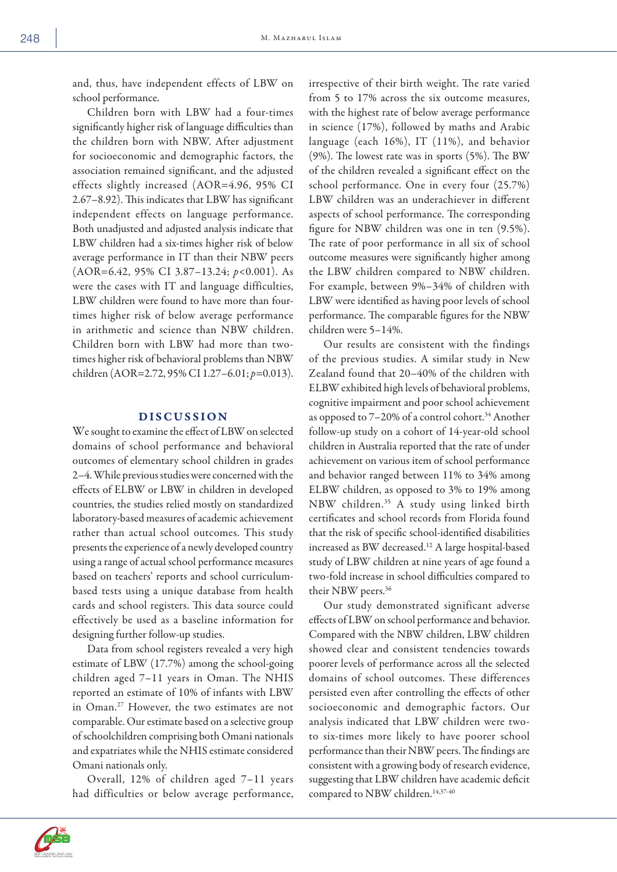and, thus, have independent effects of LBW on school performance.

Children born with LBW had a four-times significantly higher risk of language difficulties than the children born with NBW. After adjustment for socioeconomic and demographic factors, the association remained significant, and the adjusted effects slightly increased (AOR=4.96, 95% CI 2.67–8.92). This indicates that LBW has significant independent effects on language performance. Both unadjusted and adjusted analysis indicate that LBW children had a six-times higher risk of below average performance in IT than their NBW peers (AOR=6.42, 95% CI 3.87–13.24; *p*<0.001). As were the cases with IT and language difficulties, LBW children were found to have more than fourtimes higher risk of below average performance in arithmetic and science than NBW children. Children born with LBW had more than twotimes higher risk of behavioral problems than NBW children (AOR=2.72, 95% CI 1.27–6.01; *p*=0.013).

# DISCUSSION

We sought to examine the effect of LBW on selected domains of school performance and behavioral outcomes of elementary school children in grades 2–4. While previous studies were concerned with the effects of ELBW or LBW in children in developed countries, the studies relied mostly on standardized laboratory-based measures of academic achievement rather than actual school outcomes. This study presents the experience of a newly developed country using a range of actual school performance measures based on teachers' reports and school curriculumbased tests using a unique database from health cards and school registers. This data source could effectively be used as a baseline information for designing further follow-up studies.

Data from school registers revealed a very high estimate of LBW (17.7%) among the school-going children aged 7–11 years in Oman. The NHIS reported an estimate of 10% of infants with LBW in Oman.27 However, the two estimates are not comparable. Our estimate based on a selective group of schoolchildren comprising both Omani nationals and expatriates while the NHIS estimate considered Omani nationals only.

Overall, 12% of children aged 7–11 years had difficulties or below average performance, irrespective of their birth weight. The rate varied from 5 to 17% across the six outcome measures, with the highest rate of below average performance in science (17%), followed by maths and Arabic language (each 16%), IT (11%), and behavior (9%). The lowest rate was in sports (5%). The BW of the children revealed a significant effect on the school performance. One in every four (25.7%) LBW children was an underachiever in different aspects of school performance. The corresponding figure for NBW children was one in ten (9.5%). The rate of poor performance in all six of school outcome measures were significantly higher among the LBW children compared to NBW children. For example, between 9%–34% of children with LBW were identified as having poor levels of school performance. The comparable figures for the NBW children were 5–14%.

Our results are consistent with the findings of the previous studies. A similar study in New Zealand found that 20–40% of the children with ELBW exhibited high levels of behavioral problems, cognitive impairment and poor school achievement as opposed to  $7-20\%$  of a control cohort.<sup>34</sup> Another follow-up study on a cohort of 14-year-old school children in Australia reported that the rate of under achievement on various item of school performance and behavior ranged between 11% to 34% among ELBW children, as opposed to 3% to 19% among NBW children.35 A study using linked birth certificates and school records from Florida found that the risk of specific school-identified disabilities increased as BW decreased.12 A large hospital-based study of LBW children at nine years of age found a two-fold increase in school difficulties compared to their NBW peers.<sup>36</sup>

Our study demonstrated significant adverse effects of LBW on school performance and behavior. Compared with the NBW children, LBW children showed clear and consistent tendencies towards poorer levels of performance across all the selected domains of school outcomes. These differences persisted even after controlling the effects of other socioeconomic and demographic factors. Our analysis indicated that LBW children were twoto six-times more likely to have poorer school performance than their NBW peers. The findings are consistent with a growing body of research evidence, suggesting that LBW children have academic deficit compared to NBW children.<sup>14,37-40</sup>

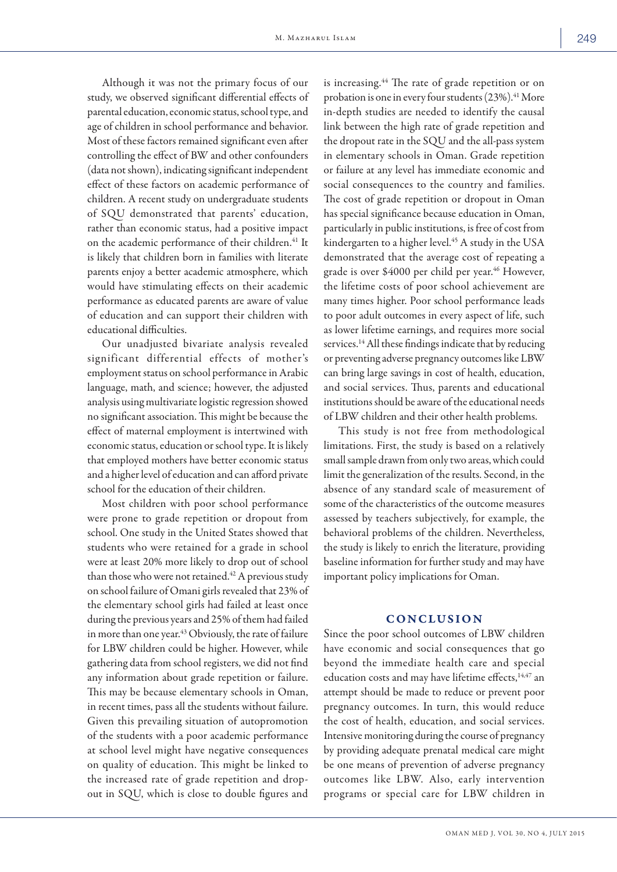Although it was not the primary focus of our study, we observed significant differential effects of parental education, economic status, school type, and age of children in school performance and behavior. Most of these factors remained significant even after controlling the effect of BW and other confounders (data not shown), indicating significant independent effect of these factors on academic performance of children. A recent study on undergraduate students

of SQU demonstrated that parents' education, rather than economic status, had a positive impact on the academic performance of their children.<sup>41</sup> It is likely that children born in families with literate parents enjoy a better academic atmosphere, which would have stimulating effects on their academic performance as educated parents are aware of value of education and can support their children with educational difficulties.

Our unadjusted bivariate analysis revealed significant differential effects of mother's employment status on school performance in Arabic language, math, and science; however, the adjusted analysis using multivariate logistic regression showed no significant association. This might be because the effect of maternal employment is intertwined with economic status, education or school type. It is likely that employed mothers have better economic status and a higher level of education and can afford private school for the education of their children.

Most children with poor school performance were prone to grade repetition or dropout from school. One study in the United States showed that students who were retained for a grade in school were at least 20% more likely to drop out of school than those who were not retained.<sup>42</sup> A previous study on school failure of Omani girls revealed that 23% of the elementary school girls had failed at least once during the previous years and 25% of them had failed in more than one year.<sup>43</sup> Obviously, the rate of failure for LBW children could be higher. However, while gathering data from school registers, we did not find any information about grade repetition or failure. This may be because elementary schools in Oman, in recent times, pass all the students without failure. Given this prevailing situation of autopromotion of the students with a poor academic performance at school level might have negative consequences on quality of education. This might be linked to the increased rate of grade repetition and dropout in SQU, which is close to double figures and

is increasing.<sup>44</sup> The rate of grade repetition or on probation is one in every four students (23%).<sup>41</sup> More in-depth studies are needed to identify the causal link between the high rate of grade repetition and the dropout rate in the SQU and the all-pass system in elementary schools in Oman. Grade repetition or failure at any level has immediate economic and social consequences to the country and families. The cost of grade repetition or dropout in Oman has special significance because education in Oman, particularly in public institutions, is free of cost from kindergarten to a higher level.<sup>45</sup> A study in the USA demonstrated that the average cost of repeating a grade is over \$4000 per child per year.<sup>46</sup> However, the lifetime costs of poor school achievement are many times higher. Poor school performance leads to poor adult outcomes in every aspect of life, such as lower lifetime earnings, and requires more social services.<sup>14</sup> All these findings indicate that by reducing or preventing adverse pregnancy outcomes like LBW can bring large savings in cost of health, education, and social services. Thus, parents and educational institutions should be aware of the educational needs of LBW children and their other health problems.

This study is not free from methodological limitations. First, the study is based on a relatively small sample drawn from only two areas, which could limit the generalization of the results. Second, in the absence of any standard scale of measurement of some of the characteristics of the outcome measures assessed by teachers subjectively, for example, the behavioral problems of the children. Nevertheless, the study is likely to enrich the literature, providing baseline information for further study and may have important policy implications for Oman.

## **CONCLUSION**

Since the poor school outcomes of LBW children have economic and social consequences that go beyond the immediate health care and special education costs and may have lifetime effects,<sup>14,47</sup> an attempt should be made to reduce or prevent poor pregnancy outcomes. In turn, this would reduce the cost of health, education, and social services. Intensive monitoring during the course of pregnancy by providing adequate prenatal medical care might be one means of prevention of adverse pregnancy outcomes like LBW. Also, early intervention programs or special care for LBW children in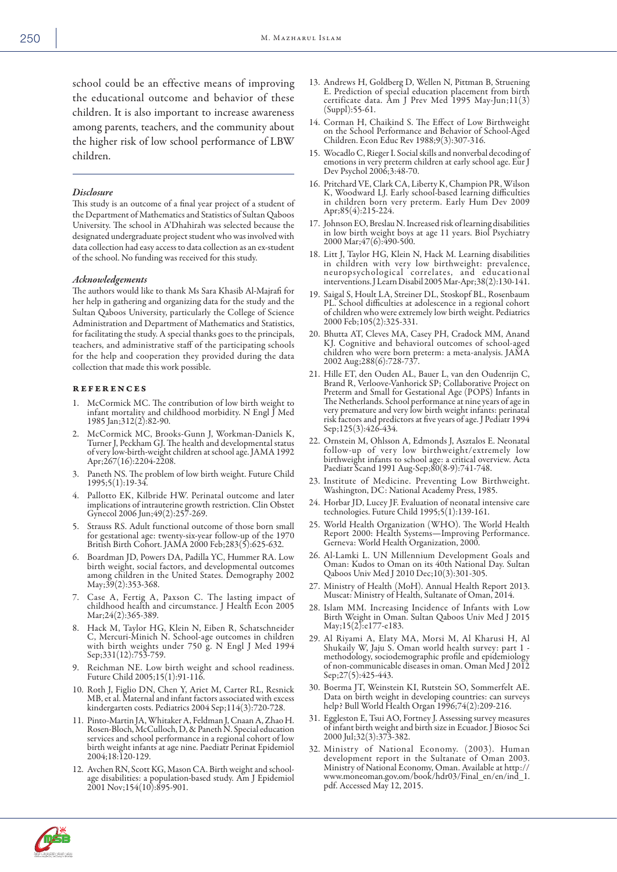school could be an effective means of improving the educational outcome and behavior of these children. It is also important to increase awareness among parents, teachers, and the community about the higher risk of low school performance of LBW children.

### *Disclosure*

This study is an outcome of a final year project of a student of the Department of Mathematics and Statistics of Sultan Qaboos University. The school in A'Dhahirah was selected because the designated undergraduate project student who was involved with data collection had easy access to data collection as an ex-student of the school. No funding was received for this study.

### *Acknowledgements*

The authors would like to thank Ms Sara Khasib Al-Majrafi for her help in gathering and organizing data for the study and the Sultan Qaboos University, particularly the College of Science Administration and Department of Mathematics and Statistics, for facilitating the study. A special thanks goes to the principals, teachers, and administrative staff of the participating schools for the help and cooperation they provided during the data collection that made this work possible.

### references

- 1. McCormick MC. The contribution of low birth weight to infant mortality and childhood morbidity. N Engl J Med 1985 Jan;312(2):82-90.
- 2. McCormick MC, Brooks-Gunn J, Workman-Daniels K, Turner J, Peckham GJ. The health and developmental status of very low-birth-weight children at school age. JAMA 1992 Apr;267(16):2204-2208.
- 3. Paneth NS. The problem of low birth weight. Future Child 1995;5(1):19-34.
- 4. Pallotto EK, Kilbride HW. Perinatal outcome and later implications of intrauterine growth restriction. Clin Obstet Gynecol 2006 Jun;49(2):257-269.
- Strauss RS. Adult functional outcome of those born small for gestational age: twenty-six-year follow-up of the 1970 British Birth Cohort. JAMA 2000 Feb;283(5):625-632.
- 6. Boardman JD, Powers DA, Padilla YC, Hummer RA. Low birth weight, social factors, and developmental outcomes among children in the United States. Demography 2002 May;39(2):353-368.
- 7. Case A, Fertig A, Paxson C. The lasting impact of childhood health and circumstance. J Health Econ 2005 Mar; 24(2): 365-389.
- 8. Hack M, Taylor HG, Klein N, Eiben R, Schatschneider C, Mercuri-Minich N. School-age outcomes in children with birth weights under 750 g. N Engl J Med 1994 Sep;331(12):753-759.
- Reichman NE. Low birth weight and school readiness. Future Child 2005;15(1):91-116.
- 10. Roth J, Figlio DN, Chen Y, Ariet M, Carter RL, Resnick MB, et al. Maternal and infant factors associated with excess kindergarten costs. Pediatrics 2004 Sep;114(3):720-728.
- 11. Pinto-Martin JA, Whitaker A, Feldman J, Cnaan A, Zhao H. Rosen-Bloch, McCulloch, D, & Paneth N. Special education services and school performance in a regional cohort of low birth weight infants at age nine. Paediatr Perinat Epidemiol 2004;18:120-129.
- 12. Avchen RN, Scott KG, Mason CA. Birth weight and schoolage disabilities: a population-based study. Am J Epidemiol 2001 Nov; 154(10): 895-901.
- 13. Andrews H, Goldberg D, Wellen N, Pittman B, Struening E. Prediction of special education placement from birth certificate data. Am J Prev Med 1995 May-Jun;11(3) (Suppl):55-61.
- 14. Corman H, Chaikind S. The Effect of Low Birthweight on the School Performance and Behavior of School-Aged Children. Econ Educ Rev 1988;9(3):307-316.
- 15. Wocadlo C, Rieger I. Social skills and nonverbal decoding of emotions in very preterm children at early school age. Eur J Dev Psychol 2006;3:48-70.
- 16. Pritchard VE, Clark CA, Liberty K, Champion PR, Wilson K, Woodward LJ. Early school-based learning difficulties in children born very preterm. Early Hum Dev 2009 Apr;85(4):215-224.
- 17. Johnson EO, Breslau N. Increased risk of learning disabilities in low birth weight boys at age 11 years. Biol Psychiatry 2000 Mar;47(6):490-500.
- 18. Litt J, Taylor HG, Klein N, Hack M. Learning disabilities in children with very low birthweight: prevalence, neuropsychological correlates, and educational interventions. J Learn Disabil 2005 Mar-Apr;38(2):130-141.
- 19. Saigal S, Hoult LA, Streiner DL, Stoskopf BL, Rosenbaum PL. School difficulties at adolescence in a regional cohort of children who were extremely low birth weight. Pediatrics 2000 Feb;105(2):325-331.
- 20. Bhutta AT, Cleves MA, Casey PH, Cradock MM, Anand KJ. Cognitive and behavioral outcomes of school-aged children who were born preterm: a meta-analysis. JAMA 2002 Aug;288(6):728-737.
- 21. Hille ET, den Ouden AL, Bauer L, van den Oudenrijn C, Brand R, Verloove-Vanhorick SP; Collaborative Project on Preterm and Small for Gestational Age (POPS) Infants in The Netherlands. School performance at nine years of age in very premature and very low birth weight infants: perinatal risk factors and predictors at five years of age. J Pediatr 1994 Sep;125(3):426-434.
- 22. Ornstein M, Ohlsson A, Edmonds J, Asztalos E. Neonatal follow-up of very low birthweight/extremely low birthweight infants to school age: a critical overview. Acta Paediatr Scand 1991 Aug-Sep;80(8-9):741-748.
- 23. Institute of Medicine. Preventing Low Birthweight. Washington, DC: National Academy Press, 1985.
- 24. Horbar JD, Lucey JF. Evaluation of neonatal intensive care technologies. Future Child 1995;5(1):139-161.
- 25. World Health Organization (WHO). The World Health Report 2000: Health Systems—Improving Performance. Gerneva: World Health Organization, 2000.
- 26. Al-Lamki L. UN Millennium Development Goals and Oman: Kudos to Oman on its 40th National Day. Sultan Qaboos Univ Med J 2010 Dec;10(3):301-305.
- 27. Ministry of Health (MoH). Annual Health Report 2013. Muscat: Ministry of Health, Sultanate of Oman, 2014.
- 28. Islam MM. Increasing Incidence of Infants with Low Birth Weight in Oman. Sultan Qaboos Univ Med J 2015 May;15(2):e177-e183.
- 29. Al Riyami A, Elaty MA, Morsi M, Al Kharusi H, Al Shukaily W, Jaju S. Oman world health survey: part 1 methodology, sociodemographic profile and epidemiology of non-communicable diseases in oman. Oman Med J 2012 Sep;27(5):425-443.
- 30. Boerma JT, Weinstein KI, Rutstein SO, Sommerfelt AE. Data on birth weight in developing countries: can surveys help? Bull World Health Organ 1996;74(2):209-216.
- 31. Eggleston E, Tsui AO, Fortney J. Assessing survey measures of infant birth weight and birth size in Ecuador. J Biosoc Sci 2000 Jul;32(3):373-382.
- 32. Ministry of National Economy. (2003). Human development report in the Sultanate of Oman 2003. Ministry of National Economy, Oman. Available at http:// www.moneoman.gov.om/book/hdr03/Final\_en/en/ind\_1. pdf. Accessed May 12, 2015.